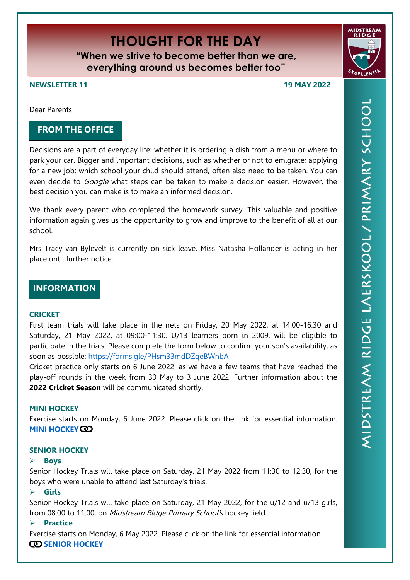# **THOUGHT FOR THE DAY**

**"When we strive to become better than we are, everything around us becomes better too"**

**NEWSLETTER 11 19 MAY 2022**

Dear Parents

## **FROM THE OFFICE**

Decisions are a part of everyday life: whether it is ordering a dish from a menu or where to park your car. Bigger and important decisions, such as whether or not to emigrate; applying for a new job; which school your child should attend, often also need to be taken. You can even decide to *Google* what steps can be taken to make a decision easier. However, the best decision you can make is to make an informed decision.

We thank every parent who completed the homework survey. This valuable and positive information again gives us the opportunity to grow and improve to the benefit of all at our school.

Mrs Tracy van Bylevelt is currently on sick leave. Miss Natasha Hollander is acting in her place until further notice.

# **INFORMATION**

## **CRICKET**

First team trials will take place in the nets on Friday, 20 May 2022, at 14:00-16:30 and Saturday, 21 May 2022, at 09:00-11:30. U/13 learners born in 2009, will be eligible to participate in the trials. Please complete the form below to confirm your son's availability, as soon as possible:<https://forms.gle/PHsm33mdDZqeBWnbA>

Cricket practice only starts on 6 June 2022, as we have a few teams that have reached the play-off rounds in the week from 30 May to 3 June 2022. Further information about the **2022 Cricket Season** will be communicated shortly.

## **MINI HOCKEY**

Exercise starts on Monday, 6 June 2022. Please click on the link for essential information. **[MINI HOCKEY](https://midstreamridgeprimary.co.za/wp-content/uploads/2022/05/mrp-nuus2022minihockey.pdf) CO** 

## **SENIOR HOCKEY**

## **Boys**

Senior Hockey Trials will take place on Saturday, 21 May 2022 from 11:30 to 12:30, for the boys who were unable to attend last Saturday's trials.

## **Girls**

Senior Hockey Trials will take place on Saturday, 21 May 2022, for the u/12 and u/13 girls, from 08:00 to 11:00, on Midstream Ridge Primary School's hockey field.

## **Practice**

Exercise starts on Monday, 6 May 2022. Please click on the link for essential information. **CO** [SENIOR HOCKEY](https://midstreamridgeprimary.co.za/wp-content/uploads/2022/05/mrp-nuus2022-senior-hockey.pdf)

**FACELLENT**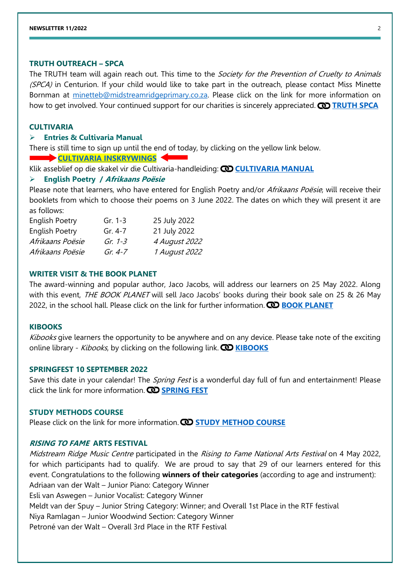#### **TRUTH OUTREACH – SPCA**

The TRUTH team will again reach out. This time to the *Society for the Prevention of Cruelty to Animals* (SPCA) in Centurion. If your child would like to take part in the outreach, please contact Miss Minette Bornman at [minetteb@midstreamridgeprimary.co.za.](mailto:minetteb@midstreamridgeprimary.co.za) Please click on the link for more information on how to get involved. Your continued support for our charities is sincerely appreciated. **O [TRUTH SPCA](https://midstreamridgeprimary.co.za/wp-content/uploads/2022/05/mrp2022Term2SPCA.pdf)** 

#### **CULTIVARIA**

#### **Entries & Cultivaria Manual**

There is still time to sign up until the end of today, by clicking on the yellow link below.

**[CULTIVARIA INSKRYWINGS](https://docs.google.com/forms/d/e/1FAIpQLSdHCYCfKzSH_Dh-JAqSdjf6bOBlUoGz1OjZ0qfnq-v3PO9xdA/viewform)** 

Klik asseblief op die skakel vir die Cultivaria-handleiding: **[CULTIVARIA MANUAL](https://midstreamridgeprimary.co.za/wp-content/uploads/2022/05/MRP-CultivariaManual-2022.pdf)**

#### **English Poetry / Afrikaans Poësie**

Please note that learners, who have entered for English Poetry and/or Afrikaans Poësie, will receive their booklets from which to choose their poems on 3 June 2022. The dates on which they will present it are as follows:

| <b>English Poetry</b> | Gr. $1-3$   | 25 July 2022  |
|-----------------------|-------------|---------------|
| English Poetry        | Gr. 4-7     | 21 July 2022  |
| Afrikaans Poësie      | Gr. $1-3$   | 4 August 2022 |
| Afrikaans Poësie      | Gr. $4 - 7$ | 1 August 2022 |

#### **WRITER VISIT & THE BOOK PLANET**

The award-winning and popular author, Jaco Jacobs, will address our learners on 25 May 2022. Along with this event, THE BOOK PLANET will sell Jaco Jacobs' books during their book sale on 25 & 26 May 2022, in the school hall. Please click on the link for further information. **CO [BOOK PLANET](https://midstreamridgeprimary.co.za/wp-content/uploads/2022/05/Die-Boek-Planeet-Book-Planet.pdf)** 

#### **KIBOOKS**

Kibooks give learners the opportunity to be anywhere and on any device. Please take note of the exciting online library - *Kibooks*, by clicking on the following link. **CO [KIBOOKS](https://midstreamridgeprimary.co.za/wp-content/uploads/2022/05/Kibooks.pdf)** 

#### **SPRINGFEST 10 SEPTEMBER 2022**

Save this date in your calendar! The *Spring Fest* is a wonderful day full of fun and entertainment! Please click the link for more information. **CD [SPRING FEST](https://midstreamridgeprimary.co.za/wp-content/uploads/2022/05/Spring-Fest-scaled.jpg)** 

#### **STUDY METHODS COURSE**

Please click on the link for more information. **CO [STUDY METHOD COURSE](https://midstreamridgeprimary.co.za/wp-content/uploads/2022/05/StudycourseNewsletter11.pdf)** 

## **RISING TO FAME ARTS FESTIVAL**

Midstream Ridge Music Centre participated in the Rising to Fame National Arts Festival on 4 May 2022, for which participants had to qualify. We are proud to say that 29 of our learners entered for this event. Congratulations to the following **winners of their categories** (according to age and instrument): Adriaan van der Walt – Junior Piano: Category Winner Esli van Aswegen – Junior Vocalist: Category Winner Meldt van der Spuy – Junior String Category: Winner; and Overall 1st Place in the RTF festival Niya Ramlagan – Junior Woodwind Section: Category Winner Petroné van der Walt – Overall 3rd Place in the RTF Festival